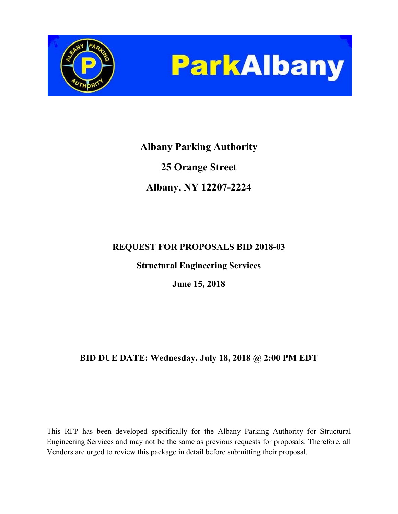



# **Albany Parking Authority 25 Orange Street Albany, NY 12207-2224**

# **REQUEST FOR PROPOSALS BID 2018-03**

**Structural Engineering Services** 

**June 15, 2018** 

# **BID DUE DATE: Wednesday, July 18, 2018 @ 2:00 PM EDT**

This RFP has been developed specifically for the Albany Parking Authority for Structural Engineering Services and may not be the same as previous requests for proposals. Therefore, all Vendors are urged to review this package in detail before submitting their proposal.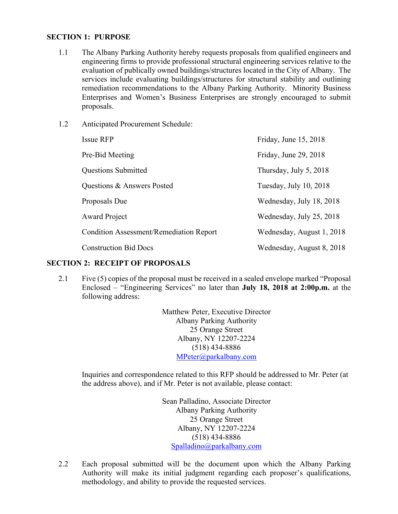#### **SECTION 1: PURPOSE**

- 1.1 The Albany Parking Authority hereby requests proposals from qualified engineers and engineering firms to provide professional structural engineering services relative to the evaluation of publically owned buildings/structures located in the City of Albany. The services include evaluating buildings/structures for structural stability and outlining remediation recommendations to the Albany Parking Authority. Minority Business Enterprises and Women's Business Enterprises are strongly encouraged to submit proposals.
- 1.2 Anticipated Procurement Schedule:

| <b>Issue RFP</b>                               | Friday, June 15, 2018     |
|------------------------------------------------|---------------------------|
| Pre-Bid Meeting                                | Friday, June 29, 2018     |
| <b>Questions Submitted</b>                     | Thursday, July $5, 2018$  |
| Questions & Answers Posted                     | Tuesday, July 10, 2018    |
| Proposals Due                                  | Wednesday, July 18, 2018  |
| <b>Award Project</b>                           | Wednesday, July 25, 2018  |
| <b>Condition Assessment/Remediation Report</b> | Wednesday, August 1, 2018 |
| <b>Construction Bid Docs</b>                   | Wednesday, August 8, 2018 |

#### **SECTION 2: RECEIPT OF PROPOSALS**

2.1 Five (5) copies of the proposal must be received in a sealed envelope marked "Proposal Enclosed – "Engineering Services" no later than **July 18, 2018 at 2:00p.m.** at the following address:

> Matthew Peter, Executive Director Albany Parking Authority 25 Orange Street Albany, NY 12207-2224 (518) 434-8886 MPeter@parkalbany.com

Inquiries and correspondence related to this RFP should be addressed to Mr. Peter (at the address above), and if Mr. Peter is not available, please contact:

> Sean Palladino, Associate Director Albany Parking Authority 25 Orange Street Albany, NY 12207-2224 (518) 434-8886 Spalladino@parkalbany.com

2.2 Each proposal submitted will be the document upon which the Albany Parking Authority will make its initial judgment regarding each proposer's qualifications, methodology, and ability to provide the requested services.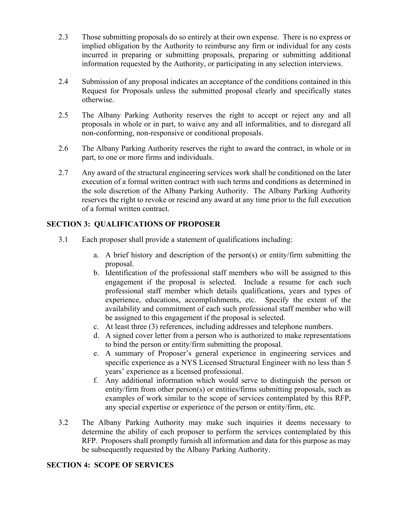- 2.3 Those submitting proposals do so entirely at their own expense. There is no express or implied obligation by the Authority to reimburse any firm or individual for any costs incurred in preparing or submitting proposals, preparing or submitting additional information requested by the Authority, or participating in any selection interviews.
- 2.4 Submission of any proposal indicates an acceptance of the conditions contained in this Request for Proposals unless the submitted proposal clearly and specifically states otherwise.
- 2.5 The Albany Parking Authority reserves the right to accept or reject any and all proposals in whole or in part, to waive any and all informalities, and to disregard all non-conforming, non-responsive or conditional proposals.
- 2.6 The Albany Parking Authority reserves the right to award the contract, in whole or in part, to one or more firms and individuals.
- 2.7 Any award of the structural engineering services work shall be conditioned on the later execution of a formal written contract with such terms and conditions as determined in the sole discretion of the Albany Parking Authority. The Albany Parking Authority reserves the right to revoke or rescind any award at any time prior to the full execution of a formal written contract.

#### **SECTION 3: QUALIFICATIONS OF PROPOSER**

- 3.1 Each proposer shall provide a statement of qualifications including:
	- a. A brief history and description of the person(s) or entity/firm submitting the proposal.
	- b. Identification of the professional staff members who will be assigned to this engagement if the proposal is selected. Include a resume for each such professional staff member which details qualifications, years and types of experience, educations, accomplishments, etc. Specify the extent of the availability and commitment of each such professional staff member who will be assigned to this engagement if the proposal is selected.
	- c. At least three (3) references, including addresses and telephone numbers.
	- d. A signed cover letter from a person who is authorized to make representations to bind the person or entity/firm submitting the proposal.
	- e. A summary of Proposer's general experience in engineering services and specific experience as a NYS Licensed Structural Engineer with no less than 5 years' experience as a licensed professional.
	- f. Any additional information which would serve to distinguish the person or entity/firm from other person(s) or entities/firms submitting proposals, such as examples of work similar to the scope of services contemplated by this RFP, any special expertise or experience of the person or entity/firm, etc.
- 3.2 The Albany Parking Authority may make such inquiries it deems necessary to determine the ability of each proposer to perform the services contemplated by this RFP. Proposers shall promptly furnish all information and data for this purpose as may be subsequently requested by the Albany Parking Authority.

#### **SECTION 4: SCOPE OF SERVICES**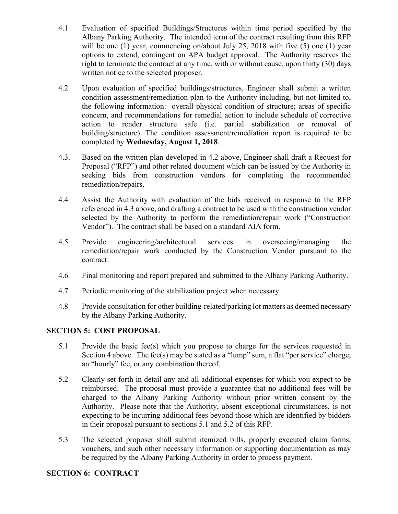- 4.1 Evaluation of specified Buildings/Structures within time period specified by the Albany Parking Authority. The intended term of the contract resulting from this RFP will be one (1) year, commencing on/about July 25, 2018 with five (5) one (1) year options to extend, contingent on APA budget approval. The Authority reserves the right to terminate the contract at any time, with or without cause, upon thirty (30) days written notice to the selected proposer.
- 4.2 Upon evaluation of specified buildings/structures, Engineer shall submit a written condition assessment/remediation plan to the Authority including, but not limited to, the following information: overall physical condition of structure; areas of specific concern, and recommendations for remedial action to include schedule of corrective action to render structure safe (i.e. partial stabilization or removal of building/structure). The condition assessment/remediation report is required to be completed by **Wednesday, August 1, 2018**.
- 4.3. Based on the written plan developed in 4.2 above, Engineer shall draft a Request for Proposal ("RFP") and other related document which can be issued by the Authority in seeking bids from construction vendors for completing the recommended remediation/repairs.
- 4.4 Assist the Authority with evaluation of the bids received in response to the RFP referenced in 4.3 above, and drafting a contract to be used with the construction vendor selected by the Authority to perform the remediation/repair work ("Construction Vendor"). The contract shall be based on a standard AIA form.
- 4.5 Provide engineering/architectural services in overseeing/managing the remediation/repair work conducted by the Construction Vendor pursuant to the contract.
- 4.6 Final monitoring and report prepared and submitted to the Albany Parking Authority.
- 4.7 Periodic monitoring of the stabilization project when necessary.
- 4.8 Provide consultation for other building-related/parking lot matters as deemed necessary by the Albany Parking Authority.

#### **SECTION 5: COST PROPOSAL**

- 5.1 Provide the basic fee(s) which you propose to charge for the services requested in Section 4 above. The fee(s) may be stated as a "lump" sum, a flat "per service" charge, an "hourly" fee, or any combination thereof.
- 5.2 Clearly set forth in detail any and all additional expenses for which you expect to be reimbursed. The proposal must provide a guarantee that no additional fees will be charged to the Albany Parking Authority without prior written consent by the Authority. Please note that the Authority, absent exceptional circumstances, is not expecting to be incurring additional fees beyond those which are identified by bidders in their proposal pursuant to sections 5.1 and 5.2 of this RFP.
- 5.3 The selected proposer shall submit itemized bills, properly executed claim forms, vouchers, and such other necessary information or supporting documentation as may be required by the Albany Parking Authority in order to process payment.

#### **SECTION 6: CONTRACT**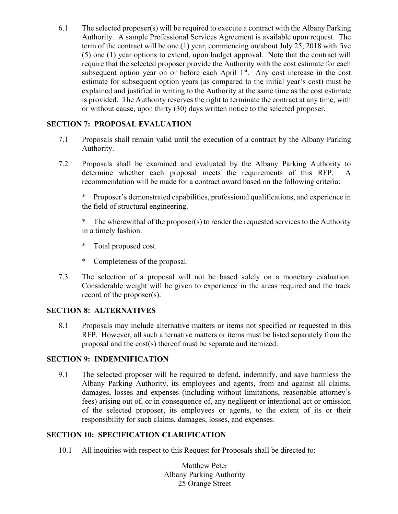6.1 The selected proposer(s) will be required to execute a contract with the Albany Parking Authority. A sample Professional Services Agreement is available upon request. The term of the contract will be one (1) year, commencing on/about July 25, 2018 with five (5) one (1) year options to extend, upon budget approval. Note that the contract will require that the selected proposer provide the Authority with the cost estimate for each subsequent option year on or before each April  $1<sup>st</sup>$ . Any cost increase in the cost estimate for subsequent option years (as compared to the initial year's cost) must be explained and justified in writing to the Authority at the same time as the cost estimate is provided. The Authority reserves the right to terminate the contract at any time, with or without cause, upon thirty (30) days written notice to the selected proposer.

#### **SECTION 7: PROPOSAL EVALUATION**

- 7.1 Proposals shall remain valid until the execution of a contract by the Albany Parking Authority.
- 7.2 Proposals shall be examined and evaluated by the Albany Parking Authority to determine whether each proposal meets the requirements of this RFP. A recommendation will be made for a contract award based on the following criteria:

 \* Proposer's demonstrated capabilities, professional qualifications, and experience in the field of structural engineering.

The wherewithal of the proposer $(s)$  to render the requested services to the Authority in a timely fashion.

- \* Total proposed cost.
- \* Completeness of the proposal.
- 7.3 The selection of a proposal will not be based solely on a monetary evaluation. Considerable weight will be given to experience in the areas required and the track record of the proposer(s).

#### **SECTION 8: ALTERNATIVES**

8.1 Proposals may include alternative matters or items not specified or requested in this RFP. However, all such alternative matters or items must be listed separately from the proposal and the cost(s) thereof must be separate and itemized.

#### **SECTION 9: INDEMNIFICATION**

9.1 The selected proposer will be required to defend, indemnify, and save harmless the Albany Parking Authority, its employees and agents, from and against all claims, damages, losses and expenses (including without limitations, reasonable attorney's fees) arising out of, or in consequence of, any negligent or intentional act or omission of the selected proposer, its employees or agents, to the extent of its or their responsibility for such claims, damages, losses, and expenses.

#### **SECTION 10: SPECIFICATION CLARIFICATION**

10.1 All inquiries with respect to this Request for Proposals shall be directed to:

Matthew Peter Albany Parking Authority 25 Orange Street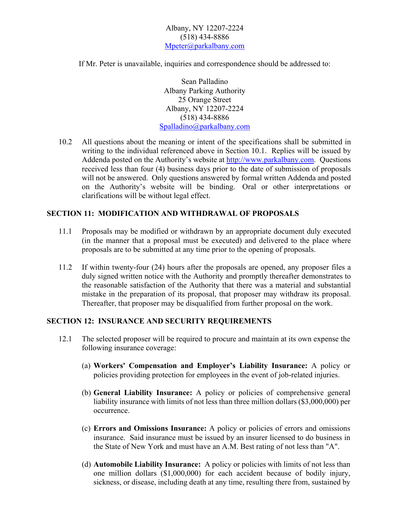Albany, NY 12207-2224 (518) 434-8886 Mpeter@parkalbany.com

If Mr. Peter is unavailable, inquiries and correspondence should be addressed to:

Sean Palladino Albany Parking Authority 25 Orange Street Albany, NY 12207-2224 (518) 434-8886 Spalladino@parkalbany.com

10.2 All questions about the meaning or intent of the specifications shall be submitted in writing to the individual referenced above in Section 10.1. Replies will be issued by Addenda posted on the Authority's website at http://www.parkalbany.com. Questions received less than four (4) business days prior to the date of submission of proposals will not be answered. Only questions answered by formal written Addenda and posted on the Authority's website will be binding. Oral or other interpretations or clarifications will be without legal effect.

#### **SECTION 11: MODIFICATION AND WITHDRAWAL OF PROPOSALS**

- 11.1 Proposals may be modified or withdrawn by an appropriate document duly executed (in the manner that a proposal must be executed) and delivered to the place where proposals are to be submitted at any time prior to the opening of proposals.
- 11.2 If within twenty-four (24) hours after the proposals are opened, any proposer files a duly signed written notice with the Authority and promptly thereafter demonstrates to the reasonable satisfaction of the Authority that there was a material and substantial mistake in the preparation of its proposal, that proposer may withdraw its proposal. Thereafter, that proposer may be disqualified from further proposal on the work.

#### **SECTION 12: INSURANCE AND SECURITY REQUIREMENTS**

- 12.1 The selected proposer will be required to procure and maintain at its own expense the following insurance coverage:
	- (a) **Workers' Compensation and Employer's Liability Insurance:** A policy or policies providing protection for employees in the event of job-related injuries.
	- (b) **General Liability Insurance:** A policy or policies of comprehensive general liability insurance with limits of not less than three million dollars (\$3,000,000) per occurrence.
	- (c) **Errors and Omissions Insurance:** A policy or policies of errors and omissions insurance. Said insurance must be issued by an insurer licensed to do business in the State of New York and must have an A.M. Best rating of not less than "A".
	- (d) **Automobile Liability Insurance:** A policy or policies with limits of not less than one million dollars (\$1,000,000) for each accident because of bodily injury, sickness, or disease, including death at any time, resulting there from, sustained by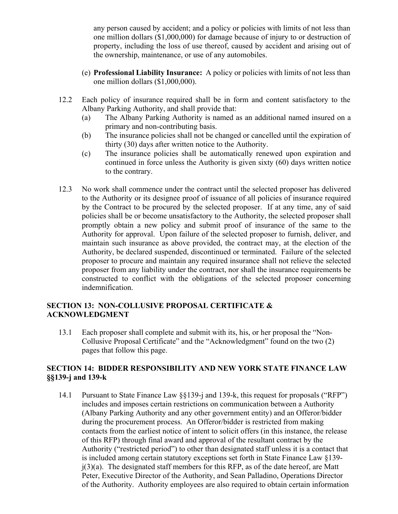any person caused by accident; and a policy or policies with limits of not less than one million dollars (\$1,000,000) for damage because of injury to or destruction of property, including the loss of use thereof, caused by accident and arising out of the ownership, maintenance, or use of any automobiles.

- (e) **Professional Liability Insurance:** A policy or policies with limits of not less than one million dollars (\$1,000,000).
- 12.2 Each policy of insurance required shall be in form and content satisfactory to the Albany Parking Authority, and shall provide that:
	- (a) The Albany Parking Authority is named as an additional named insured on a primary and non-contributing basis.
	- (b) The insurance policies shall not be changed or cancelled until the expiration of thirty (30) days after written notice to the Authority.
	- (c) The insurance policies shall be automatically renewed upon expiration and continued in force unless the Authority is given sixty (60) days written notice to the contrary.
- 12.3 No work shall commence under the contract until the selected proposer has delivered to the Authority or its designee proof of issuance of all policies of insurance required by the Contract to be procured by the selected proposer. If at any time, any of said policies shall be or become unsatisfactory to the Authority, the selected proposer shall promptly obtain a new policy and submit proof of insurance of the same to the Authority for approval. Upon failure of the selected proposer to furnish, deliver, and maintain such insurance as above provided, the contract may, at the election of the Authority, be declared suspended, discontinued or terminated. Failure of the selected proposer to procure and maintain any required insurance shall not relieve the selected proposer from any liability under the contract, nor shall the insurance requirements be constructed to conflict with the obligations of the selected proposer concerning indemnification.

#### **SECTION 13: NON-COLLUSIVE PROPOSAL CERTIFICATE & ACKNOWLEDGMENT**

13.1 Each proposer shall complete and submit with its, his, or her proposal the "Non-Collusive Proposal Certificate" and the "Acknowledgment" found on the two (2) pages that follow this page.

#### **SECTION 14: BIDDER RESPONSIBILITY AND NEW YORK STATE FINANCE LAW §§139-j and 139-k**

14.1 Pursuant to State Finance Law §§139-j and 139-k, this request for proposals ("RFP") includes and imposes certain restrictions on communication between a Authority (Albany Parking Authority and any other government entity) and an Offeror/bidder during the procurement process. An Offeror/bidder is restricted from making contacts from the earliest notice of intent to solicit offers (in this instance, the release of this RFP) through final award and approval of the resultant contract by the Authority ("restricted period") to other than designated staff unless it is a contact that is included among certain statutory exceptions set forth in State Finance Law §139  $j(3)(a)$ . The designated staff members for this RFP, as of the date hereof, are Matt Peter, Executive Director of the Authority, and Sean Palladino, Operations Director of the Authority. Authority employees are also required to obtain certain information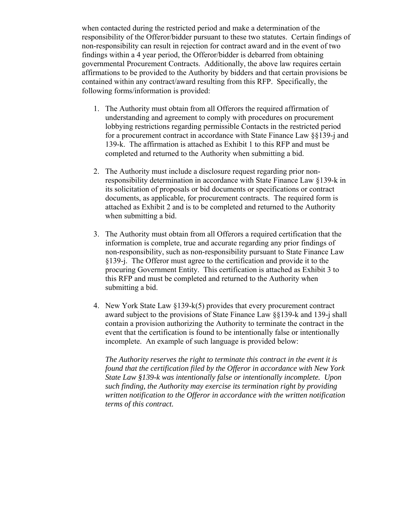when contacted during the restricted period and make a determination of the responsibility of the Offeror/bidder pursuant to these two statutes. Certain findings of non-responsibility can result in rejection for contract award and in the event of two findings within a 4 year period, the Offeror/bidder is debarred from obtaining governmental Procurement Contracts. Additionally, the above law requires certain affirmations to be provided to the Authority by bidders and that certain provisions be contained within any contract/award resulting from this RFP. Specifically, the following forms/information is provided:

- 1. The Authority must obtain from all Offerors the required affirmation of understanding and agreement to comply with procedures on procurement lobbying restrictions regarding permissible Contacts in the restricted period for a procurement contract in accordance with State Finance Law §§139-j and 139-k. The affirmation is attached as Exhibit 1 to this RFP and must be completed and returned to the Authority when submitting a bid.
- 2. The Authority must include a disclosure request regarding prior nonresponsibility determination in accordance with State Finance Law §139-k in its solicitation of proposals or bid documents or specifications or contract documents, as applicable, for procurement contracts. The required form is attached as Exhibit 2 and is to be completed and returned to the Authority when submitting a bid.
- 3. The Authority must obtain from all Offerors a required certification that the information is complete, true and accurate regarding any prior findings of non-responsibility, such as non-responsibility pursuant to State Finance Law §139-j. The Offeror must agree to the certification and provide it to the procuring Government Entity. This certification is attached as Exhibit 3 to this RFP and must be completed and returned to the Authority when submitting a bid.
- 4. New York State Law §139-k(5) provides that every procurement contract award subject to the provisions of State Finance Law §§139-k and 139-j shall contain a provision authorizing the Authority to terminate the contract in the event that the certification is found to be intentionally false or intentionally incomplete. An example of such language is provided below:

 *The Authority reserves the right to terminate this contract in the event it is found that the certification filed by the Offeror in accordance with New York State Law §139-k was intentionally false or intentionally incomplete. Upon such finding, the Authority may exercise its termination right by providing written notification to the Offeror in accordance with the written notification terms of this contract.*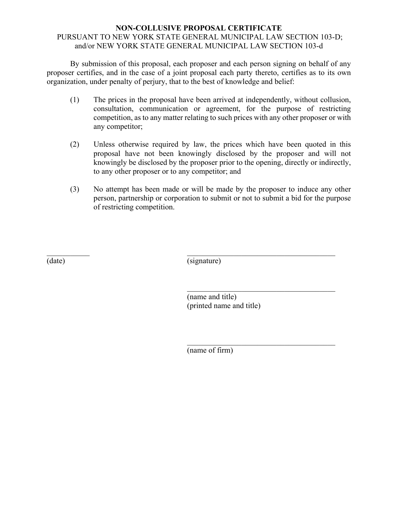#### **NON-COLLUSIVE PROPOSAL CERTIFICATE** PURSUANT TO NEW YORK STATE GENERAL MUNICIPAL LAW SECTION 103-D; and/or NEW YORK STATE GENERAL MUNICIPAL LAW SECTION 103-d

 By submission of this proposal, each proposer and each person signing on behalf of any proposer certifies, and in the case of a joint proposal each party thereto, certifies as to its own organization, under penalty of perjury, that to the best of knowledge and belief:

- (1) The prices in the proposal have been arrived at independently, without collusion, consultation, communication or agreement, for the purpose of restricting competition, as to any matter relating to such prices with any other proposer or with any competitor;
- (2) Unless otherwise required by law, the prices which have been quoted in this proposal have not been knowingly disclosed by the proposer and will not knowingly be disclosed by the proposer prior to the opening, directly or indirectly, to any other proposer or to any competitor; and
- (3) No attempt has been made or will be made by the proposer to induce any other person, partnership or corporation to submit or not to submit a bid for the purpose of restricting competition.

(date) (signature)

(name and title) (printed name and title)

(name of firm)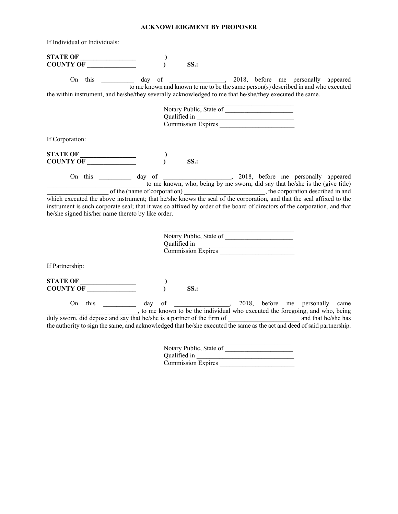#### **ACKNOWLEDGMENT BY PROPOSER**

| If Individual or Individuals:                                                                                                                                                                                                                                                                                                                                                                       |                                                               |  |                                                                                                                                                                     |
|-----------------------------------------------------------------------------------------------------------------------------------------------------------------------------------------------------------------------------------------------------------------------------------------------------------------------------------------------------------------------------------------------------|---------------------------------------------------------------|--|---------------------------------------------------------------------------------------------------------------------------------------------------------------------|
| STATE OF COUNTY OF                                                                                                                                                                                                                                                                                                                                                                                  | SS.                                                           |  |                                                                                                                                                                     |
|                                                                                                                                                                                                                                                                                                                                                                                                     |                                                               |  | On this ___________ day of _____________, 2018, before me personally appeared<br>to me known and known to me to be the same person(s) described in and who executed |
| the within instrument, and he/she/they severally acknowledged to me that he/she/they executed the same.                                                                                                                                                                                                                                                                                             |                                                               |  |                                                                                                                                                                     |
|                                                                                                                                                                                                                                                                                                                                                                                                     | Notary Public, State of<br>Qualified in<br>Commission Expires |  |                                                                                                                                                                     |
| If Corporation:                                                                                                                                                                                                                                                                                                                                                                                     |                                                               |  |                                                                                                                                                                     |
|                                                                                                                                                                                                                                                                                                                                                                                                     | SS.                                                           |  |                                                                                                                                                                     |
| On this day of the known, who, being by me sworn, did say that he/she is the (give title)<br>which executed the above instrument; that he/she knows the seal of the corporation, and that the seal affixed to the<br>instrument is such corporate seal; that it was so affixed by order of the board of directors of the corporation, and that<br>he/she signed his/her name thereto by like order. |                                                               |  |                                                                                                                                                                     |
|                                                                                                                                                                                                                                                                                                                                                                                                     | Notary Public, State of<br>Qualified in<br>Commission Expires |  |                                                                                                                                                                     |
| If Partnership:                                                                                                                                                                                                                                                                                                                                                                                     |                                                               |  |                                                                                                                                                                     |
| STATE OF COUNTY OF                                                                                                                                                                                                                                                                                                                                                                                  | SS.                                                           |  |                                                                                                                                                                     |
| the authority to sign the same, and acknowledged that he/she executed the same as the act and deed of said partnership.                                                                                                                                                                                                                                                                             |                                                               |  | On this __________ day of ______________, 2018, before me personally came<br>, to me known to be the individual who executed the foregoing, and who, being          |
|                                                                                                                                                                                                                                                                                                                                                                                                     |                                                               |  |                                                                                                                                                                     |

| Notary Public, State of   |  |
|---------------------------|--|
| Oualified in              |  |
| <b>Commission Expires</b> |  |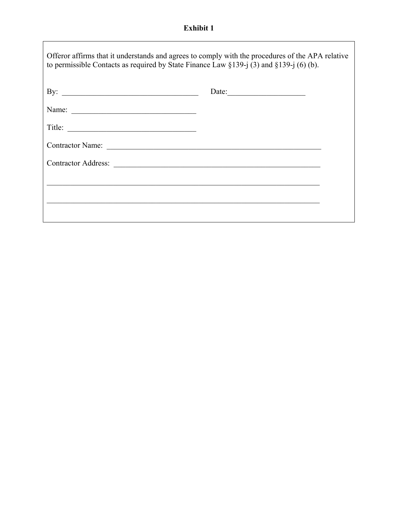## **Exhibit 1**

'n

| Offeror affirms that it understands and agrees to comply with the procedures of the APA relative<br>to permissible Contacts as required by State Finance Law $\S$ 139-j (3) and $\S$ 139-j (6) (b). |       |
|-----------------------------------------------------------------------------------------------------------------------------------------------------------------------------------------------------|-------|
| By: $\qquad \qquad$                                                                                                                                                                                 | Date: |
| Name:                                                                                                                                                                                               |       |
|                                                                                                                                                                                                     |       |
|                                                                                                                                                                                                     |       |
|                                                                                                                                                                                                     |       |
|                                                                                                                                                                                                     |       |
|                                                                                                                                                                                                     |       |
|                                                                                                                                                                                                     |       |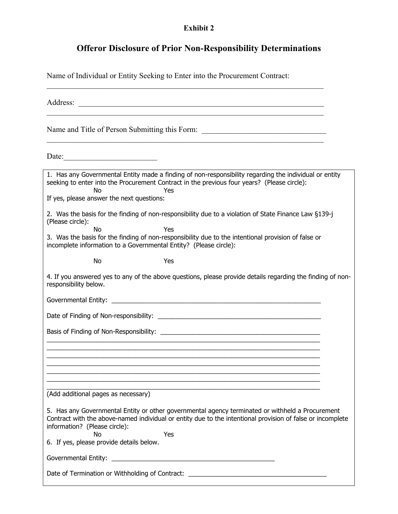#### **Exhibit 2**

## **Offeror Disclosure of Prior Non-Responsibility Determinations**

Name of Individual or Entity Seeking to Enter into the Procurement Contract:

Address:  $\mathcal{L}_\text{max} = \mathcal{L}_\text{max} = \mathcal{L}_\text{max} = \mathcal{L}_\text{max} = \mathcal{L}_\text{max} = \mathcal{L}_\text{max} = \mathcal{L}_\text{max} = \mathcal{L}_\text{max} = \mathcal{L}_\text{max} = \mathcal{L}_\text{max} = \mathcal{L}_\text{max} = \mathcal{L}_\text{max} = \mathcal{L}_\text{max} = \mathcal{L}_\text{max} = \mathcal{L}_\text{max} = \mathcal{L}_\text{max} = \mathcal{L}_\text{max} = \mathcal{L}_\text{max} = \mathcal{$ Name and Title of Person Submitting this Form: \_\_\_\_\_\_\_\_\_\_\_\_\_\_\_\_\_\_\_\_\_\_\_\_\_\_\_\_\_\_\_\_\_ Date: 1. Has any Governmental Entity made a finding of non-responsibility regarding the individual or entity seeking to enter into the Procurement Contract in the previous four years? (Please circle): No Yes If yes, please answer the next questions: 2. Was the basis for the finding of non-responsibility due to a violation of State Finance Law §139-j (Please circle): No Yes 3. Was the basis for the finding of non-responsibility due to the intentional provision of false or incomplete information to a Governmental Entity? (Please circle): No Yes 4. If you answered yes to any of the above questions, please provide details regarding the finding of nonresponsibility below. Governmental Entity: **Example 2018** Date of Finding of Non-responsibility: \_\_\_\_\_\_\_\_\_\_\_\_\_\_\_\_\_\_\_\_\_\_\_\_\_\_\_\_\_\_\_\_\_\_\_\_\_\_\_\_\_\_\_\_\_\_ Basis of Finding of Non-Responsibility: \_\_\_\_\_\_\_\_\_\_\_\_\_\_\_\_\_\_\_\_\_\_\_\_\_\_\_\_\_\_\_\_\_\_\_\_\_\_\_\_\_\_\_\_\_  $\_$  , and the set of the set of the set of the set of the set of the set of the set of the set of the set of the set of the set of the set of the set of the set of the set of the set of the set of the set of the set of th  $\_$  , and the set of the set of the set of the set of the set of the set of the set of the set of the set of the set of the set of the set of the set of the set of the set of the set of the set of the set of the set of th  $\_$  , and the set of the set of the set of the set of the set of the set of the set of the set of the set of the set of the set of the set of the set of the set of the set of the set of the set of the set of the set of th  $\_$  , and the set of the set of the set of the set of the set of the set of the set of the set of the set of the set of the set of the set of the set of the set of the set of the set of the set of the set of the set of th \_\_\_\_\_\_\_\_\_\_\_\_\_\_\_\_\_\_\_\_\_\_\_\_\_\_\_\_\_\_\_\_\_\_\_\_\_\_\_\_\_\_\_\_\_\_\_\_\_\_\_\_\_\_\_\_\_\_\_\_\_\_\_\_\_\_\_\_\_\_\_\_\_\_\_\_\_  $\_$  , and the set of the set of the set of the set of the set of the set of the set of the set of the set of the set of the set of the set of the set of the set of the set of the set of the set of the set of the set of th  $\_$  , and the set of the set of the set of the set of the set of the set of the set of the set of the set of the set of the set of the set of the set of the set of the set of the set of the set of the set of the set of th (Add additional pages as necessary) 5. Has any Governmental Entity or other governmental agency terminated or withheld a Procurement Contract with the above-named individual or entity due to the intentional provision of false or incomplete information? (Please circle): No Yes 6. If yes, please provide details below. Governmental Entity: \_\_\_\_\_\_\_\_\_\_\_\_\_\_\_\_\_\_\_\_\_\_\_\_\_\_\_\_\_\_\_\_\_\_\_\_\_\_\_\_\_\_\_\_\_\_ Date of Termination or Withholding of Contract: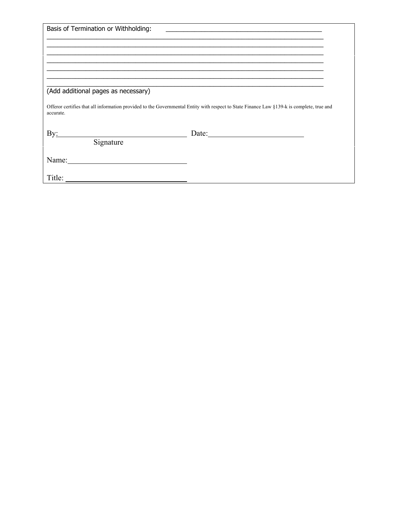| Basis of Termination or Withholding:                                              | <u> 1989 - Johann Stein, fransk politiker (d. 1989)</u>                                                                                   |
|-----------------------------------------------------------------------------------|-------------------------------------------------------------------------------------------------------------------------------------------|
|                                                                                   |                                                                                                                                           |
|                                                                                   |                                                                                                                                           |
|                                                                                   |                                                                                                                                           |
|                                                                                   |                                                                                                                                           |
| (Add additional pages as necessary)                                               |                                                                                                                                           |
| accurate.                                                                         | Offeror certifies that all information provided to the Governmental Entity with respect to State Finance Law §139-k is complete, true and |
| $\rm By:$<br><u> 1989 - Johann Barn, mars ar breist fan de Amerikaanske komme</u> | Date:                                                                                                                                     |
| Signature                                                                         |                                                                                                                                           |
|                                                                                   |                                                                                                                                           |
|                                                                                   |                                                                                                                                           |